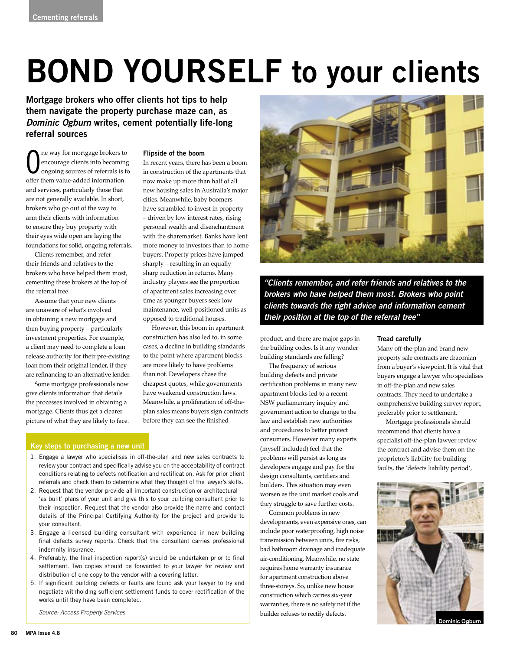# **BOND YOURSELF to your clients**

**Mortgage brokers who offer clients hot tips to help them navigate the property purchase maze can, as Dominic Ogburn writes, cement potentially life-long referral sources**

 $\overline{0}$ ne way for mortgage brokers to encourage clients into becoming ongoing sources of referrals is to offer them value-added information and services, particularly those that are not generally available. In short, brokers who go out of the way to arm their clients with information to ensure they buy property with their eyes wide open are laying the foundations for solid, ongoing referrals.

Clients remember, and refer their friends and relatives to the brokers who have helped them most, cementing these brokers at the top of the referral tree.

Assume that your new clients are unaware of what's involved in obtaining a new mortgage and then buying property – particularly investment properties. For example, a client may need to complete a loan release authority for their pre-existing loan from their original lender, if they are refinancing to an alternative lender.

Some mortgage professionals now give clients information that details the processes involved in obtaining a mortgage. Clients thus get a clearer picture of what they are likely to face.

## **Flipside of the boom**

In recent years, there has been a boom in construction of the apartments that now make up more than half of all new housing sales in Australia's major cities. Meanwhile, baby boomers have scrambled to invest in property – driven by low interest rates, rising personal wealth and disenchantment with the sharemarket. Banks have lent more money to investors than to home buyers. Property prices have jumped sharply – resulting in an equally sharp reduction in returns. Many industry players see the proportion of apartment sales increasing over time as younger buyers seek low maintenance, well-positioned units as opposed to traditional houses.

However, this boom in apartment construction has also led to, in some cases, a decline in building standards to the point where apartment blocks are more likely to have problems than not. Developers chase the cheapest quotes, while governments have weakened construction laws. Meanwhile, a proliferation of off-theplan sales means buyers sign contracts before they can see the finished

# **Key steps to purchasing a new unit**

- 1. Engage a lawyer who specialises in off-the-plan and new sales contracts to review your contract and specifically advise you on the acceptability of contract conditions relating to defects notification and rectification. Ask for prior client referrals and check them to determine what they thought of the lawyer's skills.
- 2. Request that the vendor provide all important construction or architectural 'as built' plans of your unit and give this to your building consultant prior to their inspection. Request that the vendor also provide the name and contact details of the Principal Certifying Authority for the project and provide to your consultant.
- 3. Engage a licensed building consultant with experience in new building final defects survey reports. Check that the consultant carries professional indemnity insurance.
- 4. Preferably, the final inspection report(s) should be undertaken prior to final settlement. Two copies should be forwarded to your lawyer for review and distribution of one copy to the vendor with a covering letter.
- 5. If significant building defects or faults are found ask your lawyer to try and negotiate withholding sufficient settlement funds to cover rectification of the works until they have been completed.

Source: Access Property Services



**"Clients remember, and refer friends and relatives to the brokers who have helped them most. Brokers who point clients towards the right advice and information cement their position at the top of the referral tree"**

product, and there are major gaps in the building codes. Is it any wonder building standards are falling?

The frequency of serious building defects and private certification problems in many new apartment blocks led to a recent NSW parliamentary inquiry and government action to change to the law and establish new authorities and procedures to better protect consumers. However many experts (myself included) feel that the problems will persist as long as developers engage and pay for the design consultants, certifiers and builders. This situation may even worsen as the unit market cools and they struggle to save further costs.

Common problems in new developments, even expensive ones, can include poor waterproofing, high noise transmission between units, fire risks, bad bathroom drainage and inadequate air-conditioning. Meanwhile, no state requires home warranty insurance for apartment construction above three-storeys. So, unlike new house construction which carries six-year warranties, there is no safety net if the builder refuses to rectify defects.

#### **Tread carefully**

Many off-the-plan and brand new property sale contracts are draconian from a buyer's viewpoint. It is vital that buyers engage a lawyer who specialises in off-the-plan and new sales contracts. They need to undertake a comprehensive building survey report, preferably prior to settlement.

Mortgage professionals should recommend that clients have a specialist off-the-plan lawyer review the contract and advise them on the proprietor's liability for building faults, the 'defects liability period',